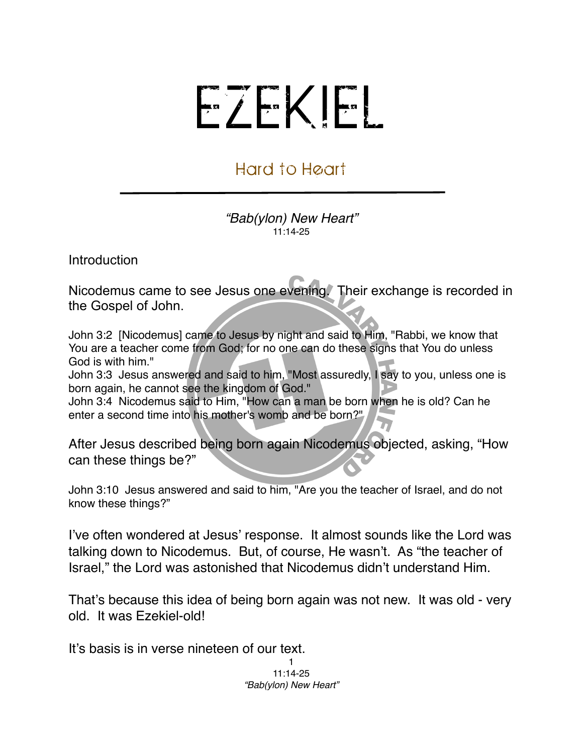## EZEKIEL

## Hard to Heart

*"Bab(ylon) New Heart"* 11:14-25

Introduction

Nicodemus came to see Jesus one evening. Their exchange is recorded in the Gospel of John.

John 3:2 [Nicodemus] came to Jesus by night and said to Him, "Rabbi, we know that You are a teacher come from God; for no one can do these signs that You do unless God is with him."

John 3:3 Jesus answered and said to him, "Most assuredly, I say to you, unless one is born again, he cannot see the kingdom of God."

John 3:4 Nicodemus said to Him, "How can a man be born when he is old? Can he enter a second time into his mother's womb and be born?"

After Jesus described being born again Nicodemus objected, asking, "How can these things be?"

John 3:10 Jesus answered and said to him, "Are you the teacher of Israel, and do not know these things?"

I've often wondered at Jesus' response. It almost sounds like the Lord was talking down to Nicodemus. But, of course, He wasn't. As "the teacher of Israel," the Lord was astonished that Nicodemus didn't understand Him.

That's because this idea of being born again was not new. It was old - very old. It was Ezekiel-old!

It's basis is in verse nineteen of our text.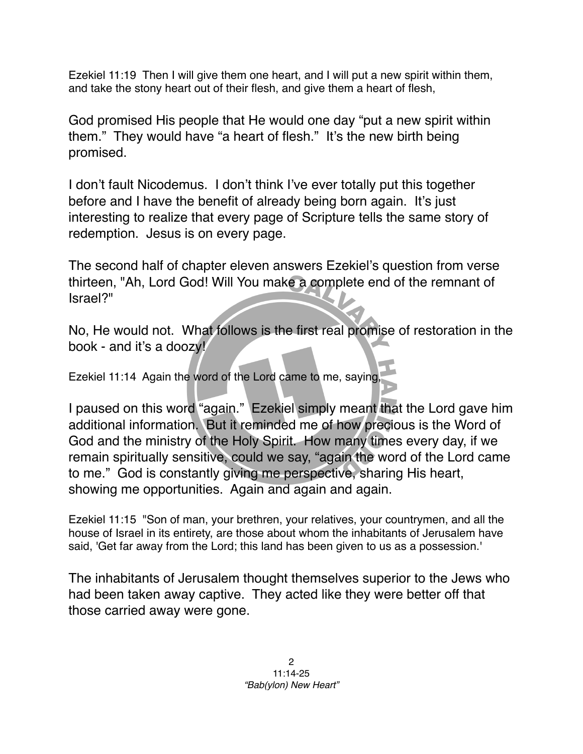Ezekiel 11:19 Then I will give them one heart, and I will put a new spirit within them, and take the stony heart out of their flesh, and give them a heart of flesh,

God promised His people that He would one day "put a new spirit within them." They would have "a heart of flesh." It's the new birth being promised.

I don't fault Nicodemus. I don't think I've ever totally put this together before and I have the benefit of already being born again. It's just interesting to realize that every page of Scripture tells the same story of redemption. Jesus is on every page.

The second half of chapter eleven answers Ezekiel's question from verse thirteen, "Ah, Lord God! Will You make a complete end of the remnant of Israel?"

No, He would not. What follows is the first real promise of restoration in the book - and it's a doozy!

Ezekiel 11:14 Again the word of the Lord came to me, saying,

I paused on this word "again." Ezekiel simply meant that the Lord gave him additional information. But it reminded me of how precious is the Word of God and the ministry of the Holy Spirit. How many times every day, if we remain spiritually sensitive, could we say, "again the word of the Lord came to me." God is constantly giving me perspective, sharing His heart, showing me opportunities. Again and again and again.

Ezekiel 11:15 "Son of man, your brethren, your relatives, your countrymen, and all the house of Israel in its entirety, are those about whom the inhabitants of Jerusalem have said, 'Get far away from the Lord; this land has been given to us as a possession.'

The inhabitants of Jerusalem thought themselves superior to the Jews who had been taken away captive. They acted like they were better off that those carried away were gone.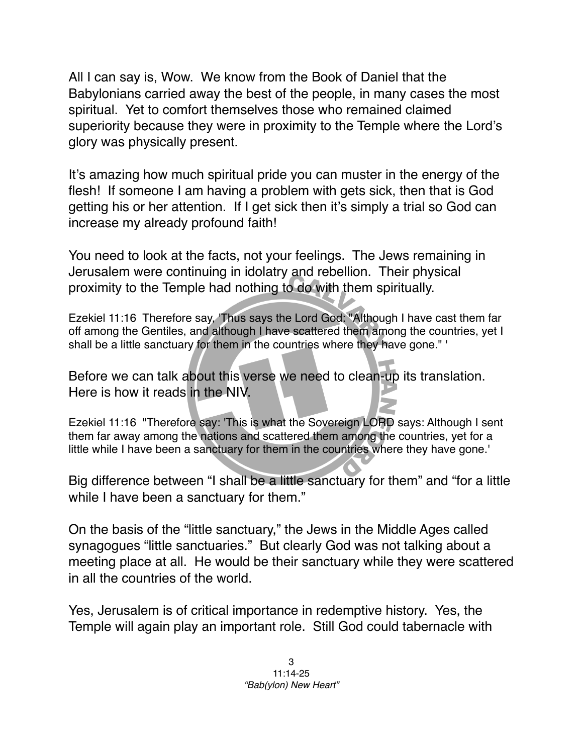All I can say is, Wow. We know from the Book of Daniel that the Babylonians carried away the best of the people, in many cases the most spiritual. Yet to comfort themselves those who remained claimed superiority because they were in proximity to the Temple where the Lord's glory was physically present.

It's amazing how much spiritual pride you can muster in the energy of the flesh! If someone I am having a problem with gets sick, then that is God getting his or her attention. If I get sick then it's simply a trial so God can increase my already profound faith!

You need to look at the facts, not your feelings. The Jews remaining in Jerusalem were continuing in idolatry and rebellion. Their physical proximity to the Temple had nothing to do with them spiritually.

Ezekiel 11:16 Therefore say, 'Thus says the Lord God: "Although I have cast them far off among the Gentiles, and although I have scattered them among the countries, yet I shall be a little sanctuary for them in the countries where they have gone." '

Before we can talk about this verse we need to clean-up its translation. Here is how it reads in the NIV.

Ezekiel 11:16 "Therefore say: 'This is what the Sovereign LORD says: Although I sent them far away among the nations and scattered them among the countries, yet for a little while I have been a sanctuary for them in the countries where they have gone.'

Big difference between "I shall be a little sanctuary for them" and "for a little while I have been a sanctuary for them."

On the basis of the "little sanctuary," the Jews in the Middle Ages called synagogues "little sanctuaries." But clearly God was not talking about a meeting place at all. He would be their sanctuary while they were scattered in all the countries of the world.

Yes, Jerusalem is of critical importance in redemptive history. Yes, the Temple will again play an important role. Still God could tabernacle with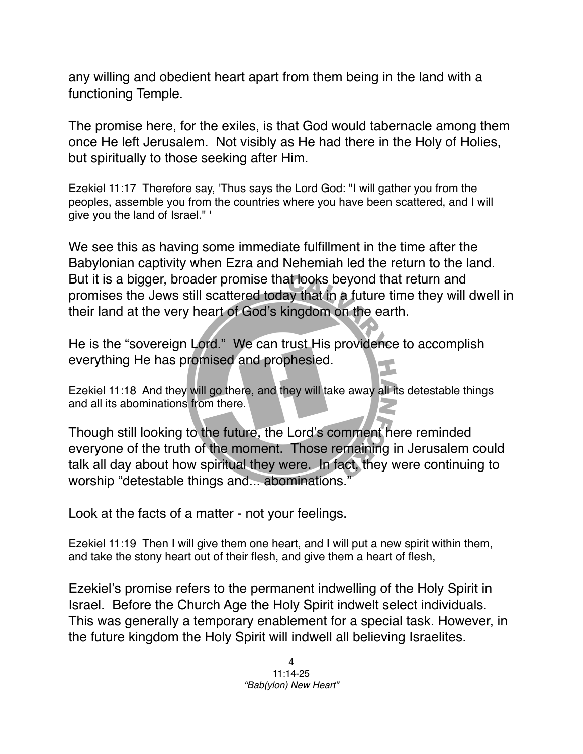any willing and obedient heart apart from them being in the land with a functioning Temple.

The promise here, for the exiles, is that God would tabernacle among them once He left Jerusalem. Not visibly as He had there in the Holy of Holies, but spiritually to those seeking after Him.

Ezekiel 11:17 Therefore say, 'Thus says the Lord God: "I will gather you from the peoples, assemble you from the countries where you have been scattered, and I will give you the land of Israel." '

We see this as having some immediate fulfillment in the time after the Babylonian captivity when Ezra and Nehemiah led the return to the land. But it is a bigger, broader promise that looks beyond that return and promises the Jews still scattered today that in a future time they will dwell in their land at the very heart of God's kingdom on the earth.

He is the "sovereign Lord." We can trust His providence to accomplish everything He has promised and prophesied.

Ezekiel 11:18 And they will go there, and they will take away all its detestable things and all its abominations from there.

Though still looking to the future, the Lord's comment here reminded everyone of the truth of the moment. Those remaining in Jerusalem could talk all day about how spiritual they were. In fact, they were continuing to worship "detestable things and... abominations."

Look at the facts of a matter - not your feelings.

Ezekiel 11:19 Then I will give them one heart, and I will put a new spirit within them, and take the stony heart out of their flesh, and give them a heart of flesh,

Ezekiel's promise refers to the permanent indwelling of the Holy Spirit in Israel. Before the Church Age the Holy Spirit indwelt select individuals. This was generally a temporary enablement for a special task. However, in the future kingdom the Holy Spirit will indwell all believing Israelites.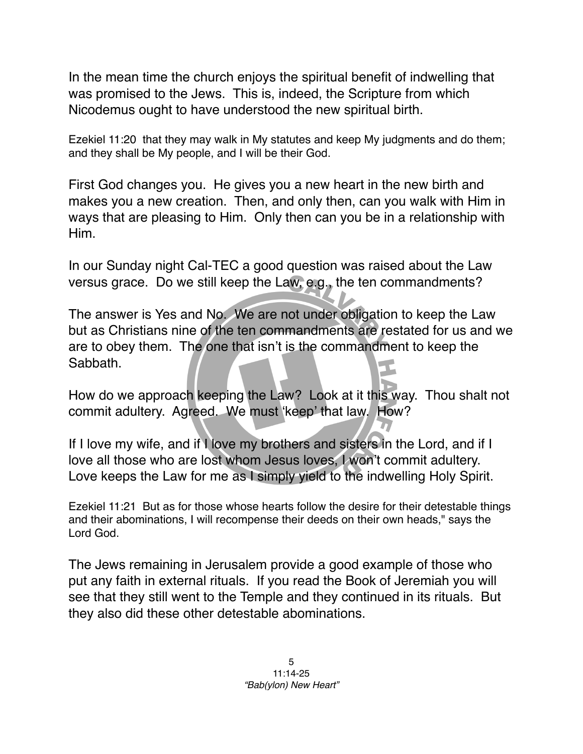In the mean time the church enjoys the spiritual benefit of indwelling that was promised to the Jews. This is, indeed, the Scripture from which Nicodemus ought to have understood the new spiritual birth.

Ezekiel 11:20 that they may walk in My statutes and keep My judgments and do them; and they shall be My people, and I will be their God.

First God changes you. He gives you a new heart in the new birth and makes you a new creation. Then, and only then, can you walk with Him in ways that are pleasing to Him. Only then can you be in a relationship with Him.

In our Sunday night Cal-TEC a good question was raised about the Law versus grace. Do we still keep the Law, e.g., the ten commandments?

The answer is Yes and No. We are not under obligation to keep the Law but as Christians nine of the ten commandments are restated for us and we are to obey them. The one that isn't is the commandment to keep the Sabbath.

How do we approach keeping the Law? Look at it this way. Thou shalt not commit adultery. Agreed. We must ʻkeep' that law. How?

If I love my wife, and if I love my brothers and sisters in the Lord, and if I love all those who are lost whom Jesus loves, I won't commit adultery. Love keeps the Law for me as I simply yield to the indwelling Holy Spirit.

Ezekiel 11:21 But as for those whose hearts follow the desire for their detestable things and their abominations, I will recompense their deeds on their own heads," says the Lord God.

The Jews remaining in Jerusalem provide a good example of those who put any faith in external rituals. If you read the Book of Jeremiah you will see that they still went to the Temple and they continued in its rituals. But they also did these other detestable abominations.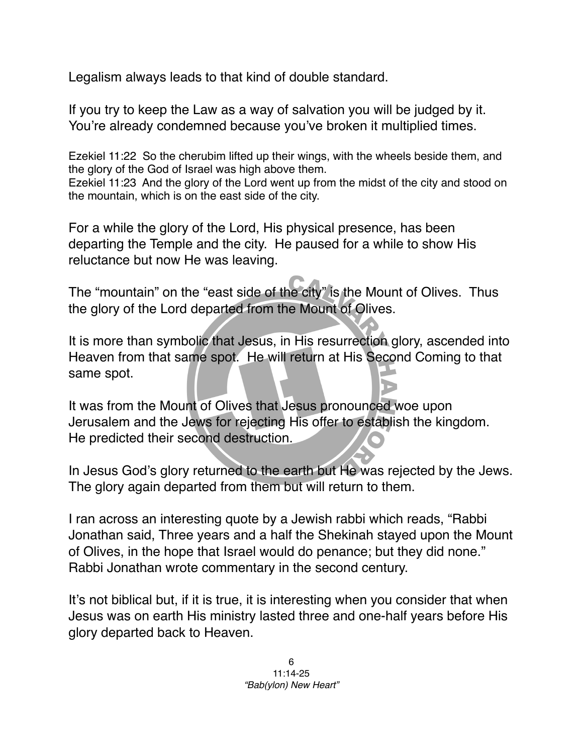Legalism always leads to that kind of double standard.

If you try to keep the Law as a way of salvation you will be judged by it. You're already condemned because you've broken it multiplied times.

Ezekiel 11:22 So the cherubim lifted up their wings, with the wheels beside them, and the glory of the God of Israel was high above them.

Ezekiel 11:23 And the glory of the Lord went up from the midst of the city and stood on the mountain, which is on the east side of the city.

For a while the glory of the Lord, His physical presence, has been departing the Temple and the city. He paused for a while to show His reluctance but now He was leaving.

The "mountain" on the "east side of the city" is the Mount of Olives. Thus the glory of the Lord departed from the Mount of Olives.

It is more than symbolic that Jesus, in His resurrection glory, ascended into Heaven from that same spot. He will return at His Second Coming to that same spot.

It was from the Mount of Olives that Jesus pronounced woe upon Jerusalem and the Jews for rejecting His offer to establish the kingdom. He predicted their second destruction.

In Jesus God's glory returned to the earth but He was rejected by the Jews. The glory again departed from them but will return to them.

I ran across an interesting quote by a Jewish rabbi which reads, "Rabbi Jonathan said, Three years and a half the Shekinah stayed upon the Mount of Olives, in the hope that Israel would do penance; but they did none." Rabbi Jonathan wrote commentary in the second century.

It's not biblical but, if it is true, it is interesting when you consider that when Jesus was on earth His ministry lasted three and one-half years before His glory departed back to Heaven.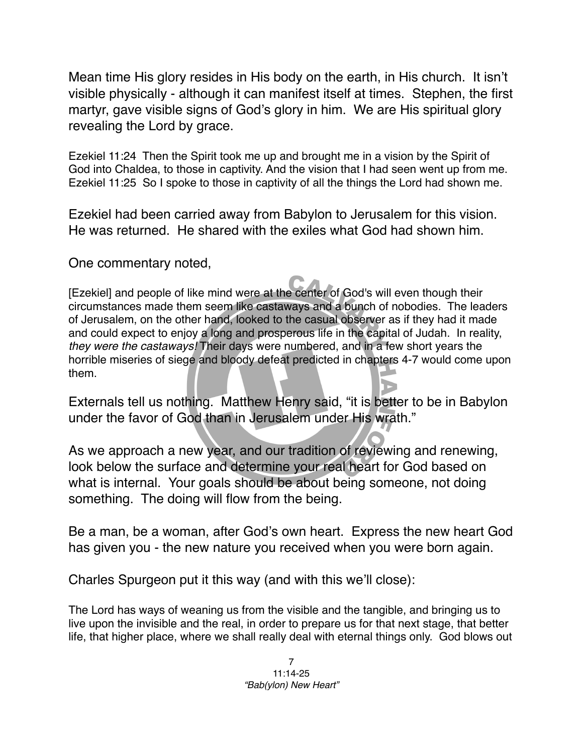Mean time His glory resides in His body on the earth, in His church. It isn't visible physically - although it can manifest itself at times. Stephen, the first martyr, gave visible signs of God's glory in him. We are His spiritual glory revealing the Lord by grace.

Ezekiel 11:24 Then the Spirit took me up and brought me in a vision by the Spirit of God into Chaldea, to those in captivity. And the vision that I had seen went up from me. Ezekiel 11:25 So I spoke to those in captivity of all the things the Lord had shown me.

Ezekiel had been carried away from Babylon to Jerusalem for this vision. He was returned. He shared with the exiles what God had shown him.

One commentary noted,

[Ezekiel] and people of like mind were at the center of God's will even though their circumstances made them seem like castaways and a bunch of nobodies. The leaders of Jerusalem, on the other hand, looked to the casual observer as if they had it made and could expect to enjoy a long and prosperous life in the capital of Judah. In reality, *they were the castaways!* Their days were numbered, and in a few short years the horrible miseries of siege and bloody defeat predicted in chapters 4-7 would come upon them.

Externals tell us nothing. Matthew Henry said, "it is better to be in Babylon under the favor of God than in Jerusalem under His wrath."

As we approach a new year, and our tradition of reviewing and renewing, look below the surface and determine your real heart for God based on what is internal. Your goals should be about being someone, not doing something. The doing will flow from the being.

Be a man, be a woman, after God's own heart. Express the new heart God has given you - the new nature you received when you were born again.

Charles Spurgeon put it this way (and with this we'll close):

The Lord has ways of weaning us from the visible and the tangible, and bringing us to live upon the invisible and the real, in order to prepare us for that next stage, that better life, that higher place, where we shall really deal with eternal things only. God blows out